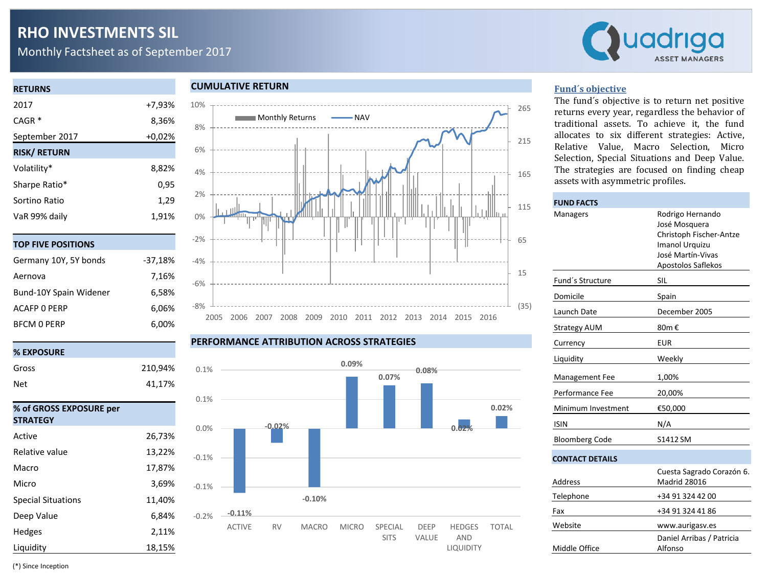# **RHO INVESTMENTS SIL**

Monthly Factsheet as of September 2017



# **RETURNS** 2017 +7,93% CAGR \* 8,36% September 2017 +0,02% **RISK/ RETURN** Volatility\* 8,82% Sharpe Ratio<sup>\*</sup> 0,95 Sortino Ratio 1,29 VaR 99% daily 1,91%

|  | TOP FIVE POSITIONS |  |  |  |  |
|--|--------------------|--|--|--|--|
|  |                    |  |  |  |  |

| Germany 10Y, 5Y bonds  | $-37,18%$ |
|------------------------|-----------|
| Aernova                | 7,16%     |
| Bund-10Y Spain Widener | 6.58%     |
| <b>ACAFP O PERP</b>    | 6.06%     |
| <b>BFCM 0 PERP</b>     | 6,00%     |

# **% EXPOSURE** Gross 210,94% Net 41,17% **% of GROSS EXPOSURE per STRATEGY** Active 26,73% Relative value 13,22% Macro 17,87% Micro 3,69%

#### **CUMULATIVE RETURN**



#### **PERFORMANCE ATTRIBUTION ACROSS STRATEGIES**



#### **Fund´s objective**

The fund´s objective is to return net positive returns every year, regardless the behavior of traditional assets. To achieve it, the fund allocates to six different strategies: Active, Relative Value, Macro Selection, Micro Selection, Special Situations and Deep Value. The strategies are focused on finding cheap assets with asymmetric profiles.

| <b>FUND FACTS</b>      |                                                                                                                                  |  |  |  |  |
|------------------------|----------------------------------------------------------------------------------------------------------------------------------|--|--|--|--|
| Managers               | Rodrigo Hernando<br>José Mosquera<br>Christoph Fischer-Antze<br><b>Imanol Urquizu</b><br>José Martín-Vivas<br>Apostolos Saflekos |  |  |  |  |
| Fund's Structure       | SIL                                                                                                                              |  |  |  |  |
| Domicile               | Spain                                                                                                                            |  |  |  |  |
| Launch Date            | December 2005                                                                                                                    |  |  |  |  |
| <b>Strategy AUM</b>    | 80m €                                                                                                                            |  |  |  |  |
| Currency               | <b>EUR</b>                                                                                                                       |  |  |  |  |
| Liquidity              | Weekly                                                                                                                           |  |  |  |  |
| <b>Management Fee</b>  | 1,00%                                                                                                                            |  |  |  |  |
| Performance Fee        | 20,00%                                                                                                                           |  |  |  |  |
| Minimum Investment     | €50,000                                                                                                                          |  |  |  |  |
| <b>ISIN</b>            | N/A                                                                                                                              |  |  |  |  |
| <b>Bloomberg Code</b>  | S1412 SM                                                                                                                         |  |  |  |  |
| <b>CONTACT DETAILS</b> |                                                                                                                                  |  |  |  |  |
| Address                | Cuesta Sagrado Corazón 6.<br>Madrid 28016                                                                                        |  |  |  |  |
| Telephone              | +34 91 324 42 00                                                                                                                 |  |  |  |  |
| Fax                    | +34 91 324 41 86                                                                                                                 |  |  |  |  |
| Website                | www.aurigasv.es                                                                                                                  |  |  |  |  |
| Middle Office          | Daniel Arribas / Patricia<br>Alfonso                                                                                             |  |  |  |  |

(\*) Since Inception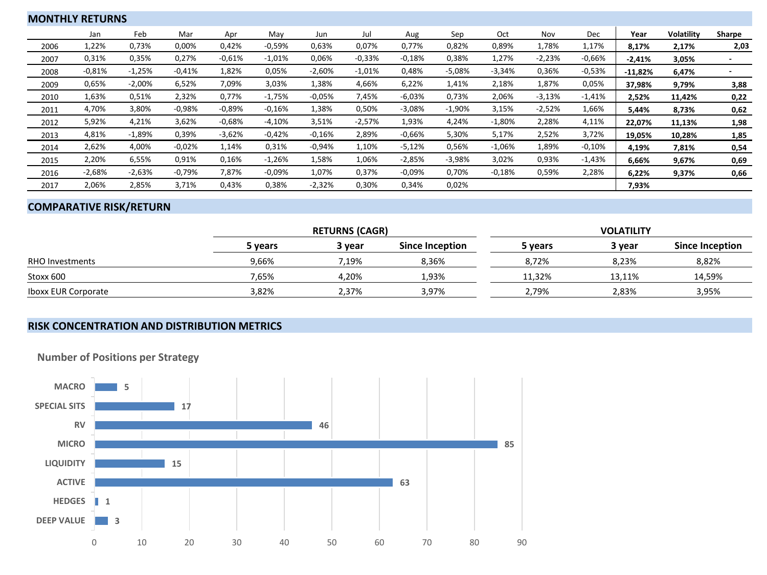| <b>MONTHLY RETURNS</b> |          |           |          |          |           |          |          |           |          |          |          |          |           |                   |        |
|------------------------|----------|-----------|----------|----------|-----------|----------|----------|-----------|----------|----------|----------|----------|-----------|-------------------|--------|
|                        | Jan      | Feb       | Mar      | Apr      | May       | Jun      | Jul      | Aug       | Sep      | Oct      | Nov      | Dec      | Year      | <b>Volatility</b> | Sharpe |
| 2006                   | L,22%    | 0,73%     | 0,00%    | 0,42%    | $-0.59%$  | 0,63%    | 0,07%    | 0,77%     | 0,82%    | 0,89%    | 1,78%    | 1,17%    | 8,17%     | 2,17%             | 2,03   |
| 2007                   | 0,31%    | 0,35%     | 0,27%    | $-0.61%$ | $-1,01%$  | 0,06%    | $-0.33%$ | $-0.18%$  | 0,38%    | 1,27%    | $-2,23%$ | $-0.66%$ | $-2,41%$  | 3,05%             |        |
| 2008                   | $-0.81%$ | $-1,25%$  | $-0.41%$ | 1,82%    | 0,05%     | $-2,60%$ | $-1,01%$ | 0,48%     | $-5,08%$ | $-3,34%$ | 0,36%    | $-0,53%$ | $-11,82%$ | 6,47%             |        |
| 2009                   | 0,65%    | $-2,00\%$ | 6,52%    | 7,09%    | 3,03%     | 1,38%    | 4,66%    | 6,22%     | 1,41%    | 2,18%    | 1,87%    | 0,05%    | 37,98%    | 9,79%             | 3,88   |
| 2010                   | 1,63%    | 0,51%     | 2,32%    | 0,77%    | $-1,75%$  | $-0.05%$ | 7,45%    | $-6,03%$  | 0,73%    | 2,06%    | $-3,13%$ | $-1,41%$ | 2,52%     | 11,42%            | 0,22   |
| 2011                   | 4,70%    | 3,80%     | $-0.98%$ | $-0.89%$ | $-0.16%$  | 1,38%    | 0,50%    | $-3,08%$  | $-1,90%$ | 3,15%    | $-2,52%$ | 1,66%    | 5,44%     | 8,73%             | 0,62   |
| 2012                   | 5,92%    | 4,21%     | 3,62%    | $-0.68%$ | $-4,10%$  | 3,51%    | $-2,57%$ | 1,93%     | 4,24%    | $-1,80%$ | 2,28%    | 4,11%    | 22,07%    | 11,13%            | 1,98   |
| 2013                   | 4,81%    | $-1,89%$  | 0,39%    | $-3,62%$ | $-0.42%$  | $-0.16%$ | 2,89%    | $-0.66%$  | 5,30%    | 5,17%    | 2,52%    | 3,72%    | 19,05%    | 10,28%            | 1,85   |
| 2014                   | 2,62%    | 4,00%     | $-0.02%$ | 1,14%    | 0,31%     | $-0.94%$ | 1,10%    | $-5,12%$  | 0,56%    | $-1,06%$ | 1,89%    | $-0,10%$ | 4,19%     | 7,81%             | 0,54   |
| 2015                   | 2,20%    | 6,55%     | 0,91%    | 0,16%    | $-1,26%$  | 1,58%    | 1,06%    | $-2,85%$  | $-3,98%$ | 3,02%    | 0,93%    | $-1,43%$ | 6,66%     | 9,67%             | 0,69   |
| 2016                   | $-2,68%$ | $-2,63%$  | $-0,79%$ | 7,87%    | $-0.09\%$ | 1,07%    | 0,37%    | $-0.09\%$ | 0,70%    | $-0,18%$ | 0,59%    | 2,28%    | 6,22%     | 9,37%             | 0,66   |
| 2017                   | 2,06%    | 2,85%     | 3,71%    | 0,43%    | 0,38%     | $-2,32%$ | 0,30%    | 0,34%     | 0,02%    |          |          |          | 7,93%     |                   |        |

## **COMPARATIVE RISK/RETURN**

|                            |         | <b>RETURNS (CAGR)</b> |                 | <b>VOLATILITY</b> |        |                 |  |  |
|----------------------------|---------|-----------------------|-----------------|-------------------|--------|-----------------|--|--|
|                            | 5 vears | 3 vear                | Since Inception | 5 vears           | 3 year | Since Inception |  |  |
| <b>RHO Investments</b>     | 9,66%   | 7.19%                 | 8.36%           | 8.72%             | 8,23%  | 8,82%           |  |  |
| Stoxx 600                  | 7,65%   | 4.20%                 | 1,93%           | 11,32%            | 13.11% | 14,59%          |  |  |
| <b>Iboxx EUR Corporate</b> | 3,82%   | 2,37%                 | 3,97%           | 2,79%             | 2,83%  | 3,95%           |  |  |

## **RISK CONCENTRATION AND DISTRIBUTION METRICS**



**Number of Positions per Strategy**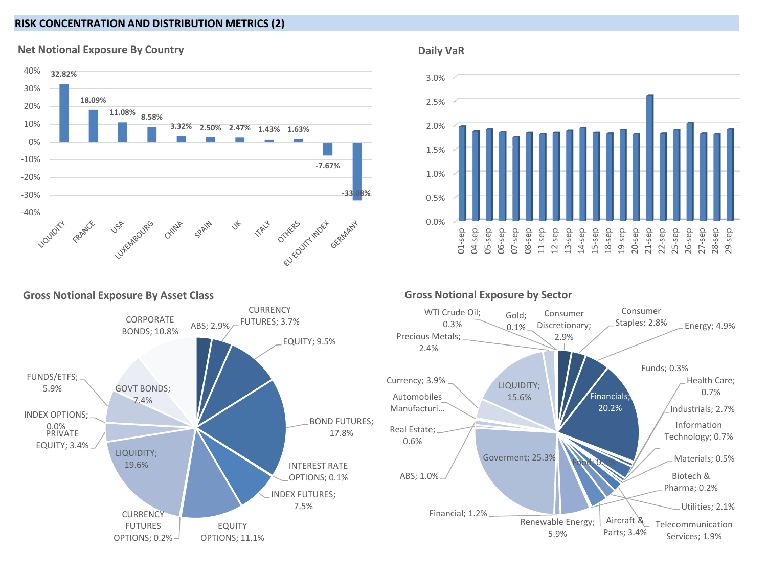## **RISK CONCENTRATION AND DISTRIBUTION METRICS (2)**



### **Net Notional Exposure By Country**







### **Gross Notional Exposure by Sector**